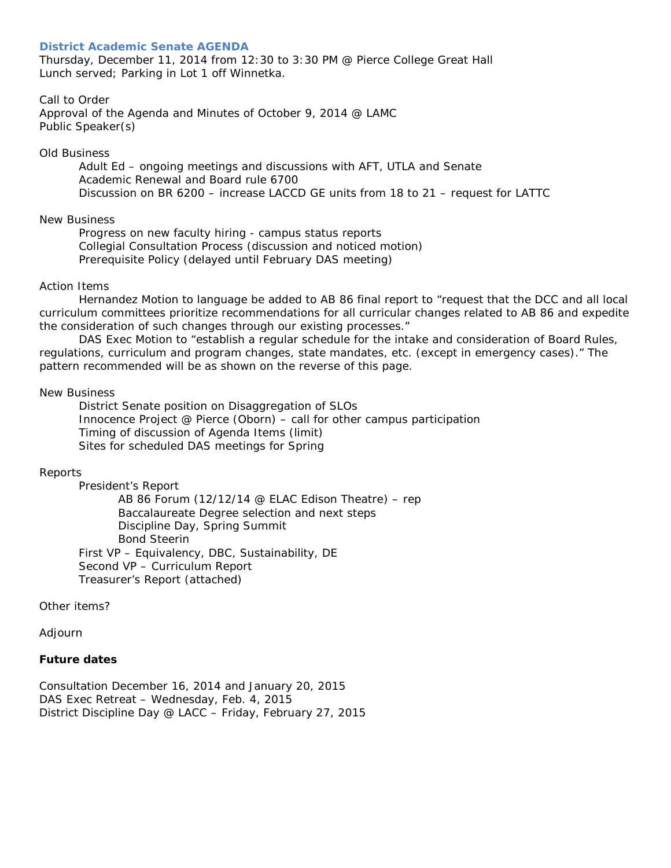### **District Academic Senate AGENDA**

Thursday, December 11, 2014 from 12:30 to 3:30 PM @ Pierce College Great Hall Lunch served; Parking in Lot 1 off Winnetka.

# Call to Order

Approval of the Agenda and Minutes of October 9, 2014 @ LAMC Public Speaker(s)

#### Old Business

Adult Ed – ongoing meetings and discussions with AFT, UTLA and Senate Academic Renewal and Board rule 6700 Discussion on BR 6200 – increase LACCD GE units from 18 to 21 – request for LATTC

### New Business

Progress on new faculty hiring - campus status reports Collegial Consultation Process (discussion and noticed motion) Prerequisite Policy (delayed until February DAS meeting)

### Action Items

Hernandez Motion to language be added to AB 86 final report to "*request that the DCC and all local curriculum committees prioritize recommendations for all curricular changes related to AB 86 and expedite the consideration of such changes through our existing processes."*

DAS Exec Motion to *"establish a regular schedule for the intake and consideration of Board Rules, regulations, curriculum and program changes, state mandates, etc. (except in emergency cases)*." The pattern recommended will be as shown on the reverse of this page.

#### New Business

District Senate position on Disaggregation of SLOs Innocence Project @ Pierce (Oborn) – call for other campus participation Timing of discussion of Agenda Items (limit) Sites for scheduled DAS meetings for Spring

# Reports

President's Report

AB 86 Forum (12/12/14 @ ELAC Edison Theatre) – rep Baccalaureate Degree selection and next steps Discipline Day, Spring Summit Bond Steerin First VP – Equivalency, DBC, Sustainability, DE Second VP – Curriculum Report Treasurer's Report (attached)

Other items?

Adjourn

# **Future dates**

*Consultation December 16, 2014 and January 20, 2015 DAS Exec Retreat – Wednesday, Feb. 4, 2015 District Discipline Day @ LACC – Friday, February 27, 2015*